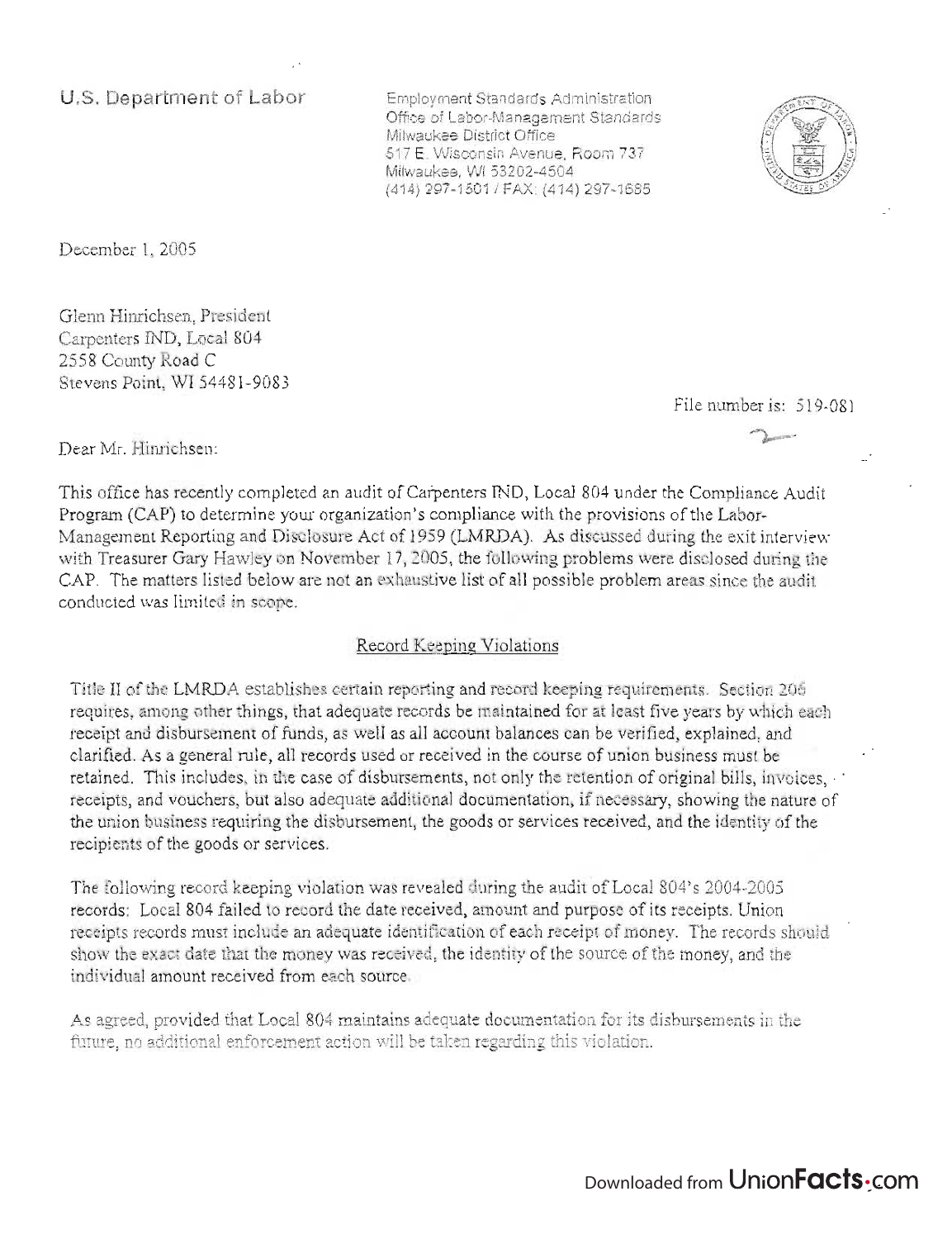**U.S. Department of Labor** 

Employment Standards Administration Office of Labor-Management Standards Milwaukee District Office 517 E. Wisconsin Avenue, Room 737 Milwaukee, WI 53202-4504 (414) 297-1501/ FAX: (414) 297-1685



December 1, 2005

Glenn Hinrichsen, President Carpenters IND, Local 804 2558 County Road C Stevens Point, WI 54481-9083

File number is: 519-081

Dear Mr. Hinrichsen:

This office has recently completed an audit of Carpenters IND, Local 804 under the Compliance Audit Program (CAP) to determine your organization's compliance with the provisions of the Labor-Management Reporting and Disclosure Act of 1959 (LMRDA). As discussed during the exit interview with Treasurer Gary Hawley on November 17, 2005, the following problems were disclosed during the CAP. The matters listed below are not an exhaustive list of all possible problem areas since the audit conducted was limited in scope.

## Record Keeping Violations

Title II of the LMRDA establishes certain reporting and record keeping requirements. Section 206 requires, among other things, that adequate records be maintained for at least five years by which each receipt and disbursement of funds, as well as all account balances can be verified, explained, and clarified. As a general rule, all records used or received in the course of union business mustbe retained. This includes, in the case of disbursements, not only the retention of original bills, invoices, receipts, and vouchers, but also adequate additional documentation, if necessary, showing the nature of the union business requiring the disbursement, the goods or services received, and the identity of the recipients of the goods or services.

The following record keeping violation was revealed during the audit of Local 804's 2004-2005 records: Local 804 failed to record the date received, amount and purpose of its receipts. Union receipts records must include an adequate identification of each receipt of money. The records should show the exact date that the money was received, the identity of the source of the money, and the individual amount received from each source.

As agreed, provided that Local 804 maintains adequate documentation for its disbursements in the future, no additional enforcement action will be taken regarding this violation.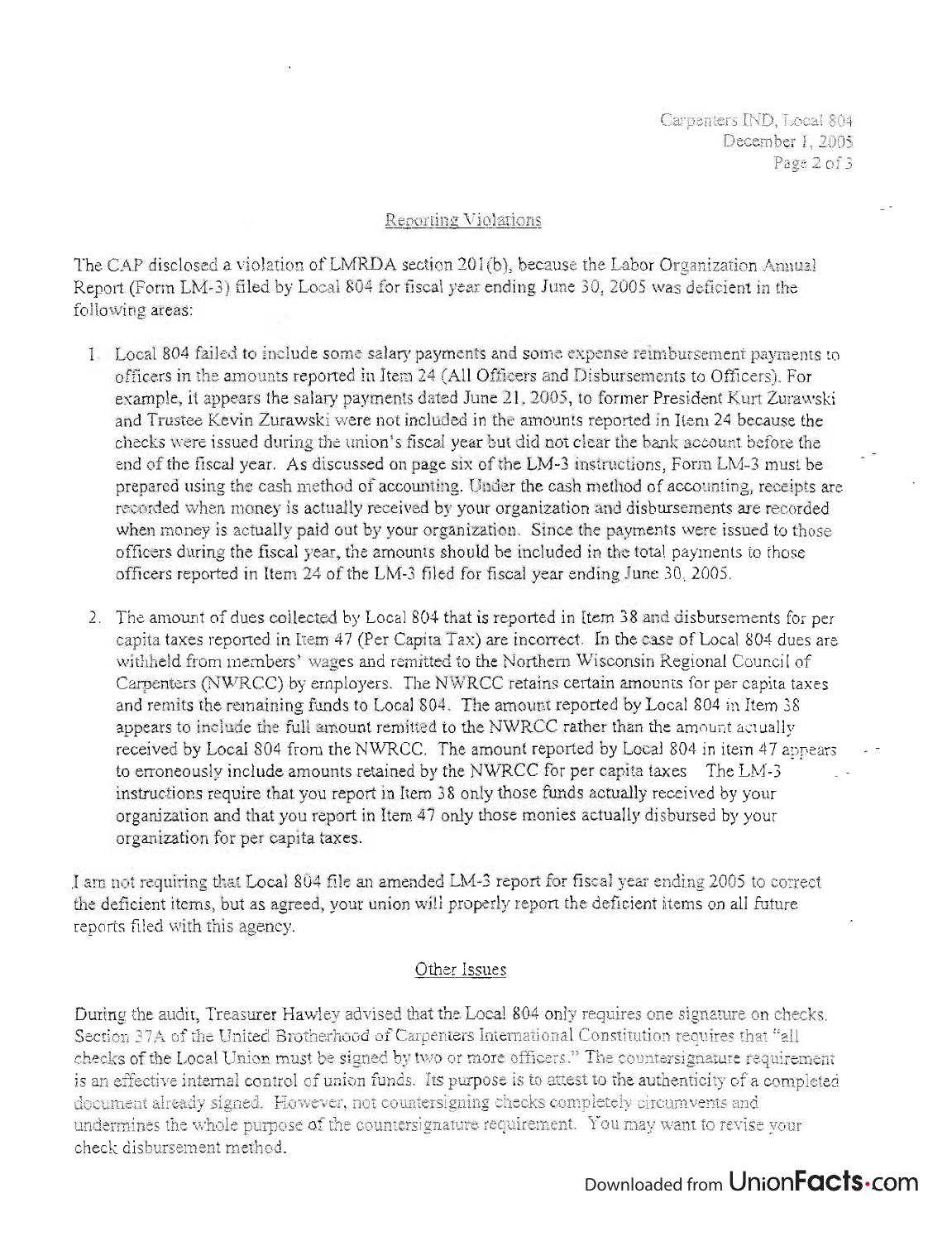Carpenters IND, Local 804 December 1, 2005 Page 2 of 3

## Reporting Violations

The CAP disclosed a violation of LMRDA section 201(b), because the Labor Organization Annual Report (Form LM-3) filed by Local 804 for fiscal year ending June 30, 2005 was deficient in the following areas:

- 1. Local 804 failed to include some salary payments and some expense reimbursement payments to officers in the amounts reported in Item 24 (All Officers and Disbursements to Officers). For example, it appears the salary payments dated June 21,2005, to former President Kurt Zurawski and Trustee Kevin Zurawski were not included in the amounts reported in Item 24 because the checks were issued during the union's fiscal year but did not clear the bank account before the end of the fiscal year. As discussed on page six of the LM-3 instructions, Form LM-3 must be prepared using the cash method of accounting. Under the cash method of accounting, receipts are recorded when money is actually received by your organization and disbursements are recorded when money is actually paid out by your organization. Since the payments were issued to those officers during the fiscal year, the amounts should be included in the total payments to those officers reported in Item 24 of the LM-3 filed for fiscal year ending June 30,2005.
- 2. The amount of dues collected by Local 804 that is reported in Item 38 and disbursements for per capita taxes reported in Item 47 (Per Capita Tax) are incorrect. In the case of Local 804 dues are withheld from members' wages and remitted to the Northern Wisconsin Regional Council of Carpenters (NWRCC) by employers. The NWRCC retains certain amounts for per capita taxes and remits the remaining funds to Local 804. The amount reported by Local 804 in Item 38 appears to include the full amount remitted to the NWRCC rather than the amount actually received by Local 804 from the NWRCC. The amount reported by Local 804 in item 47 appears to erroneously include amounts retained by the NWRCC for per capita taxes. The LM-3 instructions require that you report in Item 38 only those funds actually received by your organization and that you report in Item 47 only those monies actually disbursed by your organization for per capita taxes .

.1 am not requiring that Local 804 file an amended LM-3 report for fiscal year ending 2005 to correct the deficient items, but as agreed, your union will properly report the deficient items on all future reports filed with this agency.

## Other Issues

During the audit, Treasurer Hawley advised that the Local 804 only requires one signature on checks. Section 37A of the United Brotherhood of Carpenters International Constitution requires that "all checks of the Local Union must be signed by two or more officers." The countersignature requirement is an effective internal control of union funds. Its purpose is to attest to the authenticity of a completed<br>document already signed. However, not countersigning checks completely circumvents and undergines the whole purpose of the countersignature requirement. You may want to revise your check disbursement method.

## Downloaded from Union**Facts**.com